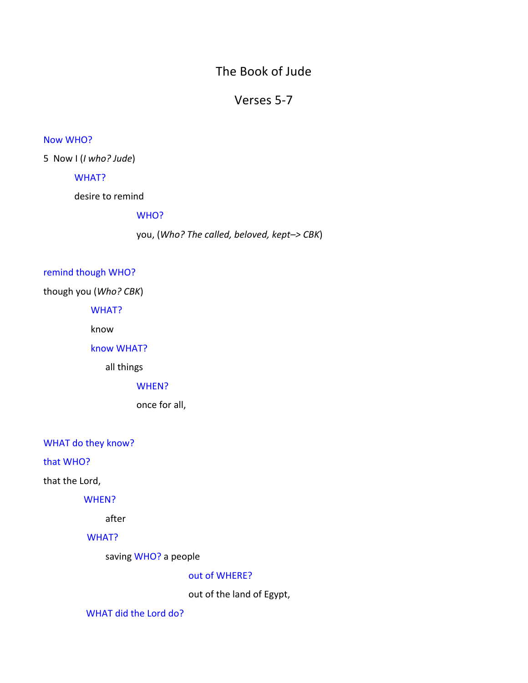# The Book of Jude

Verses 5-7

#### Now WHO?

5 Now I (*I who? Jude*)

# WHAT?

desire to remind

# WHO?

you, (Who? The called, beloved, kept-> CBK)

# remind though WHO?

though you (*Who? CBK*)

 WHAT?

 know

 know WHAT?

all things

## WHEN?

once for all, 

WHAT do they know?

## that WHO?

that the Lord,

 WHEN?

 after

# WHAT?

saving WHO? a people

# out of WHERE?

out of the land of Egypt,

WHAT did the Lord do?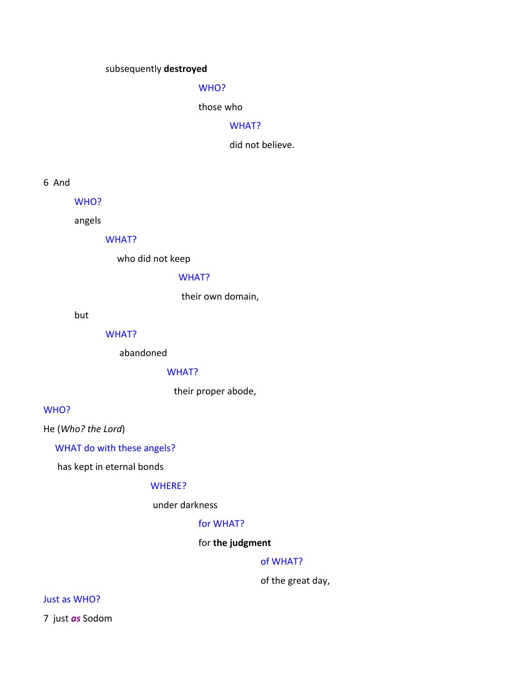# subsequently **destroyed**

# WHO?

those who 

## WHAT?

did not believe.

6 And

# WHO?

angels

#### WHAT?

who did not keep

## WHAT?

 their own domain, 

but

## WHAT?

 abandoned

## WHAT?

 their proper abode, 

#### WHO?

He (Who? the Lord)

# WHAT do with these angels?

 has kept in eternal bonds

## WHERE?

 under darkness

## for WHAT?

# for **the** judgment

## of WHAT?

of the great day,

## Just as WHO?

7 just *as* Sodom